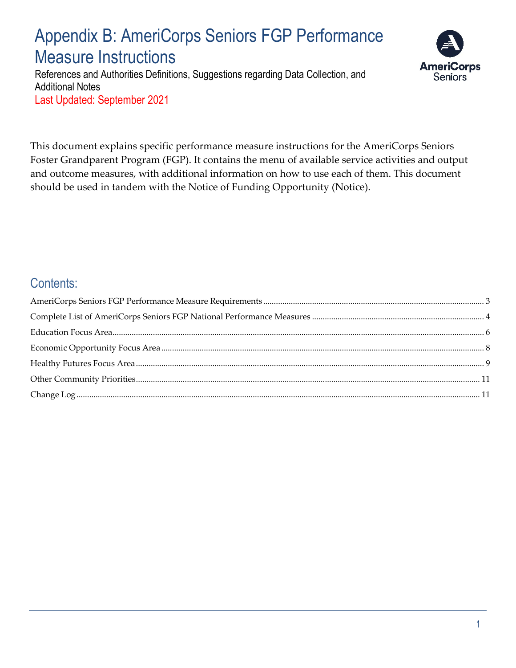# Appendix B: AmeriCorps Seniors FGP Performance Measure Instructions

References and Authorities Definitions, Suggestions regarding Data Collection, and Additional Notes Last Updated: September 2021



This document explains specific performance measure instructions for the AmeriCorps Seniors Foster Grandparent Program (FGP). It contains the menu of available service activities and output and outcome measures, with additional information on how to use each of them. This document should be used in tandem with the Notice of Funding Opportunity (Notice).

### Contents: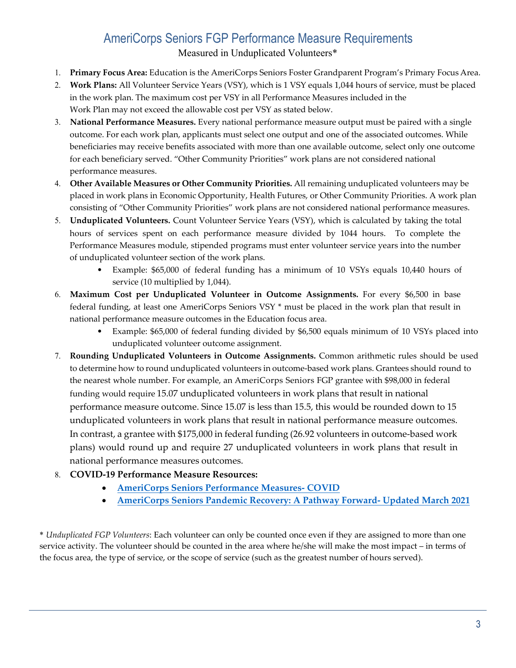### AmeriCorps Seniors FGP Performance Measure Requirements

Measured in Unduplicated Volunteers\*

- <span id="page-2-0"></span>1. **Primary Focus Area:** Education is the AmeriCorps Seniors Foster Grandparent Program's Primary Focus Area.
- 2. **Work Plans:** All Volunteer Service Years (VSY), which is 1 VSY equals 1,044 hours of service, must be placed in the work plan. The maximum cost per VSY in all Performance Measures included in the Work Plan may not exceed the allowable cost per VSY as stated below.
- 3. **National Performance Measures.** Every national performance measure output must be paired with a single outcome. For each work plan, applicants must select one output and one of the associated outcomes. While beneficiaries may receive benefits associated with more than one available outcome, select only one outcome for each beneficiary served. "Other Community Priorities" work plans are not considered national performance measures.
- 4. **Other Available Measures or Other Community Priorities.** All remaining unduplicated volunteers may be placed in work plans in Economic Opportunity, Health Futures, or Other Community Priorities. A work plan consisting of "Other Community Priorities" work plans are not considered national performance measures.
- 5. **Unduplicated Volunteers.** Count Volunteer Service Years (VSY), which is calculated by taking the total hours of services spent on each performance measure divided by 1044 hours. To complete the Performance Measures module, stipended programs must enter volunteer service years into the number of unduplicated volunteer section of the work plans.
	- Example: \$65,000 of federal funding has a minimum of 10 VSYs equals 10,440 hours of service (10 multiplied by 1,044).
- 6. **Maximum Cost per Unduplicated Volunteer in Outcome Assignments.** For every \$6,500 in base federal funding, at least one AmeriCorps Seniors VSY \* must be placed in the work plan that result in national performance measure outcomes in the Education focus area.
	- Example: \$65,000 of federal funding divided by \$6,500 equals minimum of 10 VSYs placed into unduplicated volunteer outcome assignment.
- 7. **Rounding Unduplicated Volunteers in Outcome Assignments.** Common arithmetic rules should be used to determine how to round unduplicated volunteers in outcome-based work plans. Grantees should round to the nearest whole number. For example, an AmeriCorps Seniors FGP grantee with \$98,000 in federal funding would require 15.07 unduplicated volunteers in work plans that result in national performance measure outcome. Since 15.07 is less than 15.5, this would be rounded down to 15 unduplicated volunteers in work plans that result in national performance measure outcomes. In contrast, a grantee with \$175,000 in federal funding (26.92 volunteers in outcome-based work plans) would round up and require 27 unduplicated volunteers in work plans that result in national performance measures outcomes.
- 8. **COVID-19 Performance Measure Resources:**
	- **AmeriCorps Seniors Performance Measures- COVID**
	- **[AmeriCorps Seniors Pandemic Recovery: A Pathway](https://www.americorps.gov/sites/default/files/document/2021_01_06_PMCOVID_ACS.pdf) [Forward- Updated March 2021](https://www.americorps.gov/sites/default/files/document/Pandemic%20Recovery%20A%20Pathway%20to%20Service%20update%20-Final%20%281%29.pdf)**

\* *Unduplicated FGP Volunteers*: Each volunteer can only be counted once even if they are assigned to more than one service activity. The volunteer should be counted in the area where he/she will make the most impact – in terms of the focus area, the type of service, or the scope of service (such as the greatest number of hours served).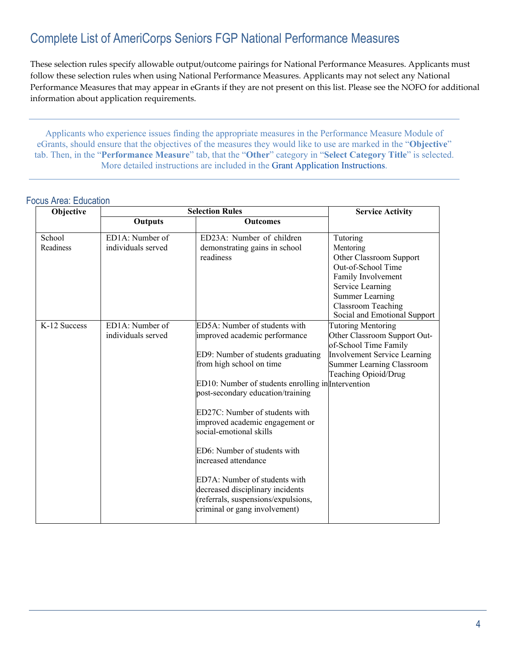### <span id="page-3-0"></span>Complete List of AmeriCorps Seniors FGP National Performance Measures

These selection rules specify allowable output/outcome pairings for National Performance Measures. Applicants must follow these selection rules when using National Performance Measures. Applicants may not select any National Performance Measures that may appear in eGrants if they are not present on this list. Please see the NOFO for additional information about application requirements.

Applicants who experience issues finding the appropriate measures in the Performance Measure Module of eGrants, should ensure that the objectives of the measures they would like to use are marked in the "**Objective**" tab. Then, in the "**Performance Measure**" tab, that the "**Other**" category in "**Select Category Title**" is selected. More detailed instructions are included in the [Grant Application Instructions.](https://www.nationalservice.gov/documents/senior-corps/2015/2016-fgpscp-grant-application-instructions)

#### Focus Area: Education

| Objective    | <b>Selection Rules</b> |                                                                | <b>Service Activity</b>             |
|--------------|------------------------|----------------------------------------------------------------|-------------------------------------|
|              | <b>Outputs</b>         | <b>Outcomes</b>                                                |                                     |
| School       | ED1A: Number of        | ED23A: Number of children                                      | Tutoring                            |
| Readiness    | individuals served     | demonstrating gains in school                                  | Mentoring                           |
|              |                        | readiness                                                      | Other Classroom Support             |
|              |                        |                                                                | Out-of-School Time                  |
|              |                        |                                                                | Family Involvement                  |
|              |                        |                                                                | Service Learning                    |
|              |                        |                                                                | <b>Summer Learning</b>              |
|              |                        |                                                                | <b>Classroom Teaching</b>           |
|              |                        |                                                                | Social and Emotional Support        |
| K-12 Success | ED1A: Number of        | ED5A: Number of students with                                  | <b>Tutoring Mentoring</b>           |
|              | individuals served     | improved academic performance                                  | Other Classroom Support Out-        |
|              |                        |                                                                | of-School Time Family               |
|              |                        | ED9: Number of students graduating<br>from high school on time | <b>Involvement Service Learning</b> |
|              |                        |                                                                | Summer Learning Classroom           |
|              |                        | ED10: Number of students enrolling in Intervention             | Teaching Opioid/Drug                |
|              |                        | post-secondary education/training                              |                                     |
|              |                        |                                                                |                                     |
|              |                        | ED27C: Number of students with                                 |                                     |
|              |                        | improved academic engagement or                                |                                     |
|              |                        | social-emotional skills                                        |                                     |
|              |                        |                                                                |                                     |
|              |                        | ED6: Number of students with                                   |                                     |
|              |                        | increased attendance                                           |                                     |
|              |                        |                                                                |                                     |
|              |                        | ED7A: Number of students with                                  |                                     |
|              |                        | decreased disciplinary incidents                               |                                     |
|              |                        | (referrals, suspensions/expulsions,                            |                                     |
|              |                        | criminal or gang involvement)                                  |                                     |
|              |                        |                                                                |                                     |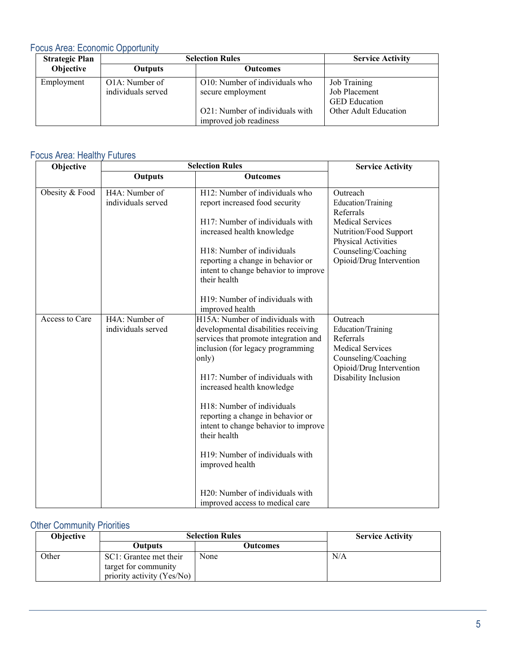#### Focus Area: Economic Opportunity

| <b>Strategic Plan</b> |                                      | <b>Selection Rules</b>                                                                                           | <b>Service Activity</b>                                                        |
|-----------------------|--------------------------------------|------------------------------------------------------------------------------------------------------------------|--------------------------------------------------------------------------------|
| Objective             | Outputs                              | <b>Outcomes</b>                                                                                                  |                                                                                |
| Employment            | O1A: Number of<br>individuals served | O10: Number of individuals who<br>secure employment<br>O21: Number of individuals with<br>improved job readiness | Job Training<br>Job Placement<br><b>GED</b> Education<br>Other Adult Education |

### Focus Area: Healthy Futures

| Objective      |                                      | <b>Selection Rules</b>                                                                                                                                                                                                                                                                                                                                                                                                                                                                  | <b>Service Activity</b>                                                                                                                                             |
|----------------|--------------------------------------|-----------------------------------------------------------------------------------------------------------------------------------------------------------------------------------------------------------------------------------------------------------------------------------------------------------------------------------------------------------------------------------------------------------------------------------------------------------------------------------------|---------------------------------------------------------------------------------------------------------------------------------------------------------------------|
|                | Outputs                              | <b>Outcomes</b>                                                                                                                                                                                                                                                                                                                                                                                                                                                                         |                                                                                                                                                                     |
| Obesity & Food | H4A: Number of<br>individuals served | H12: Number of individuals who<br>report increased food security<br>H17: Number of individuals with<br>increased health knowledge<br>H18: Number of individuals<br>reporting a change in behavior or<br>intent to change behavior to improve<br>their health<br>H19: Number of individuals with<br>improved health                                                                                                                                                                      | Outreach<br>Education/Training<br>Referrals<br>Medical Services<br>Nutrition/Food Support<br>Physical Activities<br>Counseling/Coaching<br>Opioid/Drug Intervention |
| Access to Care | H4A: Number of<br>individuals served | H15A: Number of individuals with<br>developmental disabilities receiving<br>services that promote integration and<br>inclusion (for legacy programming<br>only)<br>H17: Number of individuals with<br>increased health knowledge<br>H18: Number of individuals<br>reporting a change in behavior or<br>intent to change behavior to improve<br>their health<br>H19: Number of individuals with<br>improved health<br>H20: Number of individuals with<br>improved access to medical care | Outreach<br>Education/Training<br>Referrals<br><b>Medical Services</b><br>Counseling/Coaching<br>Opioid/Drug Intervention<br>Disability Inclusion                   |

### **Other Community Priorities**

| <b>Objective</b> | <b>Selection Rules</b>                                                       |          | <b>Service Activity</b> |
|------------------|------------------------------------------------------------------------------|----------|-------------------------|
|                  | Outputs                                                                      | Outcomes |                         |
| Other            | SC1: Grantee met their<br>target for community<br>priority activity (Yes/No) | None     | N/A                     |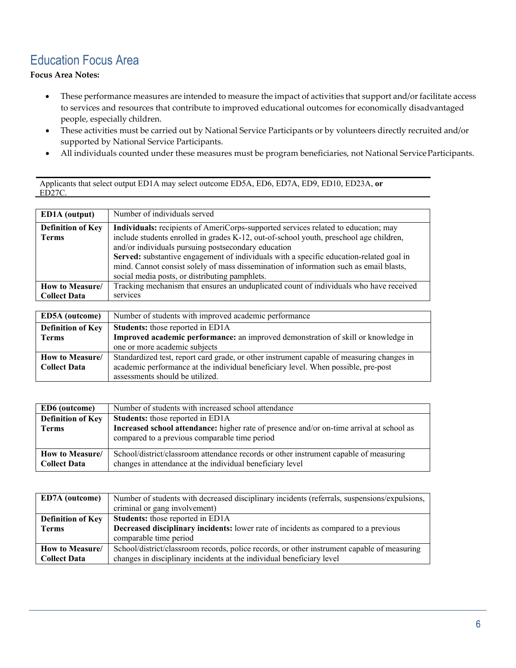### <span id="page-5-0"></span>Education Focus Area

**Focus Area Notes:**

- These performance measures are intended to measure the impact of activities that support and/or facilitate access to services and resources that contribute to improved educational outcomes for economically disadvantaged people, especially children.
- These activities must be carried out by National Service Participants or by volunteers directly recruited and/or supported by National Service Participants.
- All individuals counted under these measures must be program beneficiaries, not National Service Participants.

Applicants that select output ED1A may select outcome ED5A, ED6, ED7A, ED9, ED10, ED23A, **or** ED27C.

| <b>ED1A</b> (output)     | Number of individuals served                                                            |
|--------------------------|-----------------------------------------------------------------------------------------|
| <b>Definition of Key</b> | Individuals: recipients of AmeriCorps-supported services related to education; may      |
| <b>Terms</b>             | include students enrolled in grades K-12, out-of-school youth, preschool age children,  |
|                          | and/or individuals pursuing postsecondary education                                     |
|                          | Served: substantive engagement of individuals with a specific education-related goal in |
|                          | mind. Cannot consist solely of mass dissemination of information such as email blasts,  |
|                          | social media posts, or distributing pamphlets.                                          |
| How to Measure/          | Tracking mechanism that ensures an unduplicated count of individuals who have received  |
| <b>Collect Data</b>      | services                                                                                |

| ED5A (outcome)                         | Number of students with improved academic performance                                                                                                                                                             |
|----------------------------------------|-------------------------------------------------------------------------------------------------------------------------------------------------------------------------------------------------------------------|
| <b>Definition of Key</b>               | <b>Students:</b> those reported in ED1A                                                                                                                                                                           |
| <b>Terms</b>                           | Improved academic performance: an improved demonstration of skill or knowledge in                                                                                                                                 |
|                                        | one or more academic subjects                                                                                                                                                                                     |
| How to Measure/<br><b>Collect Data</b> | Standardized test, report card grade, or other instrument capable of measuring changes in<br>academic performance at the individual beneficiary level. When possible, pre-post<br>assessments should be utilized. |

| <b>ED6</b> (outcome)                     | Number of students with increased school attendance                                                                                                                                  |
|------------------------------------------|--------------------------------------------------------------------------------------------------------------------------------------------------------------------------------------|
| <b>Definition of Key</b><br><b>Terms</b> | <b>Students:</b> those reported in ED1A<br>Increased school attendance: higher rate of presence and/or on-time arrival at school as<br>compared to a previous comparable time period |
| How to Measure/<br><b>Collect Data</b>   | School/district/classroom attendance records or other instrument capable of measuring<br>changes in attendance at the individual beneficiary level                                   |

| <b>ED7A</b> (outcome)    | Number of students with decreased disciplinary incidents (referrals, suspensions/expulsions, |
|--------------------------|----------------------------------------------------------------------------------------------|
|                          | criminal or gang involvement)                                                                |
| <b>Definition of Key</b> | <b>Students:</b> those reported in ED1A                                                      |
| <b>Terms</b>             | <b>Decreased disciplinary incidents:</b> lower rate of incidents as compared to a previous   |
|                          | comparable time period                                                                       |
| How to Measure/          | School/district/classroom records, police records, or other instrument capable of measuring  |
| <b>Collect Data</b>      | changes in disciplinary incidents at the individual beneficiary level                        |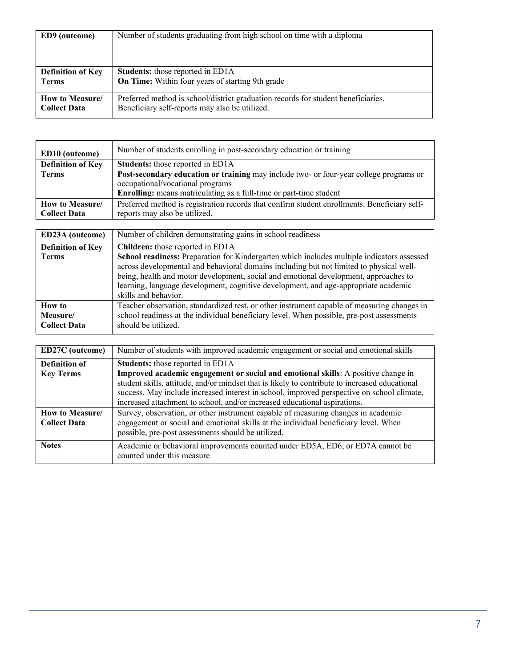| <b>ED9</b> (outcome)     | Number of students graduating from high school on time with a diploma             |
|--------------------------|-----------------------------------------------------------------------------------|
| <b>Definition of Key</b> | Students: those reported in ED1A                                                  |
| <b>Terms</b>             | <b>On Time:</b> Within four years of starting 9th grade                           |
| How to Measure/          | Preferred method is school/district graduation records for student beneficiaries. |
| <b>Collect Data</b>      | Beneficiary self-reports may also be utilized.                                    |

| ED10 (outcome)           | Number of students enrolling in post-secondary education or training                         |
|--------------------------|----------------------------------------------------------------------------------------------|
| <b>Definition of Key</b> | <b>Students:</b> those reported in ED1A                                                      |
| <b>Terms</b>             | Post-secondary education or training may include two- or four-year college programs or       |
|                          | occupational/vocational programs                                                             |
|                          | <b>Enrolling:</b> means matriculating as a full-time or part-time student                    |
| How to Measure/          | Preferred method is registration records that confirm student enrollments. Beneficiary self- |
| <b>Collect Data</b>      | reports may also be utilized.                                                                |

| ED23A (outcome)          | Number of children demonstrating gains in school readiness                                  |
|--------------------------|---------------------------------------------------------------------------------------------|
| <b>Definition of Key</b> | Children: those reported in ED1A                                                            |
| <b>Terms</b>             | School readiness: Preparation for Kindergarten which includes multiple indicators assessed  |
|                          | across developmental and behavioral domains including but not limited to physical well-     |
|                          | being, health and motor development, social and emotional development, approaches to        |
|                          | learning, language development, cognitive development, and age-appropriate academic         |
|                          | skills and behavior.                                                                        |
| <b>How to</b>            | Teacher observation, standardized test, or other instrument capable of measuring changes in |
| Measure/                 | school readiness at the individual beneficiary level. When possible, pre-post assessments   |
| <b>Collect Data</b>      | should be utilized.                                                                         |

| <b>ED27C</b> (outcome)                 | Number of students with improved academic engagement or social and emotional skills                                                                                                                                                                                                                                                                            |
|----------------------------------------|----------------------------------------------------------------------------------------------------------------------------------------------------------------------------------------------------------------------------------------------------------------------------------------------------------------------------------------------------------------|
| <b>Definition of</b>                   | <b>Students:</b> those reported in ED1A                                                                                                                                                                                                                                                                                                                        |
| <b>Key Terms</b>                       | Improved academic engagement or social and emotional skills: A positive change in<br>student skills, attitude, and/or mindset that is likely to contribute to increased educational<br>success. May include increased interest in school, improved perspective on school climate,<br>increased attachment to school, and/or increased educational aspirations. |
| How to Measure/<br><b>Collect Data</b> | Survey, observation, or other instrument capable of measuring changes in academic<br>engagement or social and emotional skills at the individual beneficiary level. When<br>possible, pre-post assessments should be utilized.                                                                                                                                 |
| <b>Notes</b>                           | Academic or behavioral improvements counted under ED5A, ED6, or ED7A cannot be<br>counted under this measure                                                                                                                                                                                                                                                   |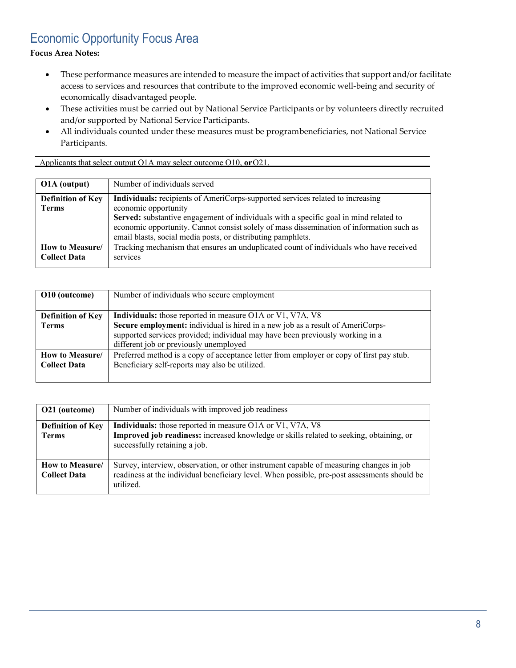### <span id="page-7-0"></span>Economic Opportunity Focus Area

**Focus Area Notes:**

- These performance measures are intended to measure the impact of activities that support and/or facilitate access to services and resources that contribute to the improved economic well-being and security of economically disadvantaged people.
- These activities must be carried out by National Service Participants or by volunteers directly recruited and/or supported by National Service Participants.
- All individuals counted under these measures must be programbeneficiaries, not National Service Participants.

Applicants that select output O1A may select outcome O10, **or**O21.

| O1A (output)             | Number of individuals served                                                             |
|--------------------------|------------------------------------------------------------------------------------------|
| <b>Definition of Key</b> | Individuals: recipients of AmeriCorps-supported services related to increasing           |
| Terms                    | economic opportunity                                                                     |
|                          | Served: substantive engagement of individuals with a specific goal in mind related to    |
|                          | economic opportunity. Cannot consist solely of mass dissemination of information such as |
|                          | email blasts, social media posts, or distributing pamphlets.                             |
| How to Measure/          | Tracking mechanism that ensures an unduplicated count of individuals who have received   |
| <b>Collect Data</b>      | services                                                                                 |
|                          |                                                                                          |

| O10 (outcome)            | Number of individuals who secure employment                                              |
|--------------------------|------------------------------------------------------------------------------------------|
|                          |                                                                                          |
| <b>Definition of Key</b> | Individuals: those reported in measure O1A or V1, V7A, V8                                |
| <b>Terms</b>             | Secure employment: individual is hired in a new job as a result of AmeriCorps-           |
|                          | supported services provided; individual may have been previously working in a            |
|                          | different job or previously unemployed                                                   |
| How to Measure/          | Preferred method is a copy of acceptance letter from employer or copy of first pay stub. |
| <b>Collect Data</b>      | Beneficiary self-reports may also be utilized.                                           |
|                          |                                                                                          |

| O21 (outcome)                            | Number of individuals with improved job readiness                                                                                                                                                    |
|------------------------------------------|------------------------------------------------------------------------------------------------------------------------------------------------------------------------------------------------------|
| <b>Definition of Key</b><br><b>Terms</b> | <b>Individuals:</b> those reported in measure O1A or V1, V7A, V8<br>Improved job readiness: increased knowledge or skills related to seeking, obtaining, or<br>successfully retaining a job.         |
| How to Measure/<br><b>Collect Data</b>   | Survey, interview, observation, or other instrument capable of measuring changes in job<br>readiness at the individual beneficiary level. When possible, pre-post assessments should be<br>utilized. |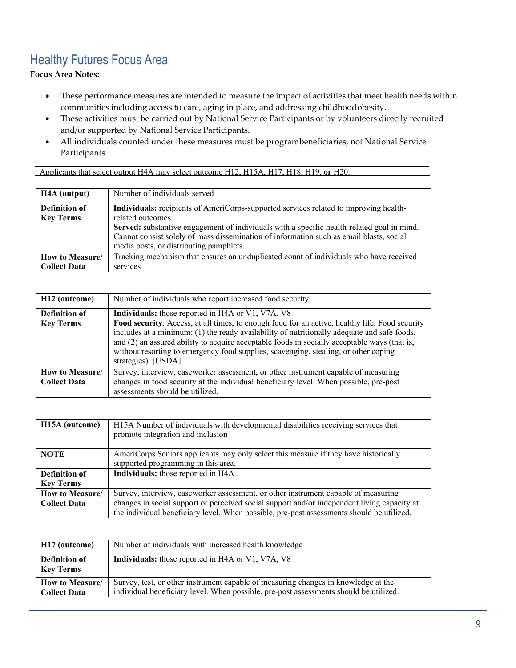# <span id="page-8-0"></span>Healthy Futures Focus Area

**Focus Area Notes:**

- These performance measures are intended to measure the impact of activities that meet health needs within communities including access to care, aging in place, and addressing childhoodobesity.
- These activities must be carried out by National Service Participants or by volunteers directly recruited and/or supported by National Service Participants.
- All individuals counted under these measures must be programbeneficiaries, not National Service Participants.

#### Applicants that select output H4A may select outcome H12, H15A, H17, H18, H19, **or** H20.

| H4A (output)                      | Number of individuals served                                                                                                                                                                                                                                                                                                                  |
|-----------------------------------|-----------------------------------------------------------------------------------------------------------------------------------------------------------------------------------------------------------------------------------------------------------------------------------------------------------------------------------------------|
| Definition of<br><b>Key Terms</b> | Individuals: recipients of AmeriCorps-supported services related to improving health-<br>related outcomes<br>Served: substantive engagement of individuals with a specific health-related goal in mind.<br>Cannot consist solely of mass dissemination of information such as email blasts, social<br>media posts, or distributing pamphlets. |
| How to Measure/                   | Tracking mechanism that ensures an unduplicated count of individuals who have received                                                                                                                                                                                                                                                        |
| <b>Collect Data</b>               | services                                                                                                                                                                                                                                                                                                                                      |

| H <sub>12</sub> (outcome)                | Number of individuals who report increased food security                                                                                                                                                                                                                                                                                                                                                                                                         |
|------------------------------------------|------------------------------------------------------------------------------------------------------------------------------------------------------------------------------------------------------------------------------------------------------------------------------------------------------------------------------------------------------------------------------------------------------------------------------------------------------------------|
| <b>Definition of</b><br><b>Key Terms</b> | Individuals: those reported in H4A or V1, V7A, V8<br>Food security: Access, at all times, to enough food for an active, healthy life. Food security<br>includes at a minimum: (1) the ready availability of nutritionally adequate and safe foods,<br>and (2) an assured ability to acquire acceptable foods in socially acceptable ways (that is,<br>without resorting to emergency food supplies, scavenging, stealing, or other coping<br>strategies). [USDA] |
| How to Measure/<br><b>Collect Data</b>   | Survey, interview, caseworker assessment, or other instrument capable of measuring<br>changes in food security at the individual beneficiary level. When possible, pre-post<br>assessments should be utilized.                                                                                                                                                                                                                                                   |

| H <sub>15</sub> A (outcome)       | H15A Number of individuals with developmental disabilities receiving services that<br>promote integration and inclusion     |
|-----------------------------------|-----------------------------------------------------------------------------------------------------------------------------|
| <b>NOTE</b>                       | AmeriCorps Seniors applicants may only select this measure if they have historically<br>supported programming in this area. |
| Definition of<br><b>Key Terms</b> | Individuals: those reported in H4A                                                                                          |
| How to Measure/                   | Survey, interview, caseworker assessment, or other instrument capable of measuring                                          |
| <b>Collect Data</b>               | changes in social support or perceived social support and/or independent living capacity at                                 |
|                                   | the individual beneficiary level. When possible, pre-post assessments should be utilized.                                   |

| H17 (outcome)                            | Number of individuals with increased health knowledge                                                                                                                       |
|------------------------------------------|-----------------------------------------------------------------------------------------------------------------------------------------------------------------------------|
| <b>Definition of</b><br><b>Key Terms</b> | <b>Individuals:</b> those reported in H4A or V1, V7A, V8                                                                                                                    |
| How to Measure/<br><b>Collect Data</b>   | Survey, test, or other instrument capable of measuring changes in knowledge at the<br>individual beneficiary level. When possible, pre-post assessments should be utilized. |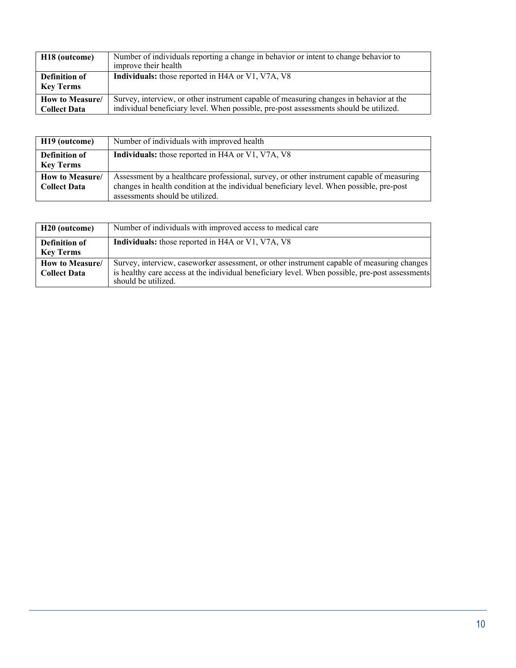| H <sub>18</sub> (outcome)                | Number of individuals reporting a change in behavior or intent to change behavior to<br>improve their health |
|------------------------------------------|--------------------------------------------------------------------------------------------------------------|
| <b>Definition of</b><br><b>Key Terms</b> | Individuals: those reported in H4A or V1, V7A, V8                                                            |
|                                          |                                                                                                              |
| How to Measure/                          | Survey, interview, or other instrument capable of measuring changes in behavior at the                       |
| <b>Collect Data</b>                      | individual beneficiary level. When possible, pre-post assessments should be utilized.                        |

| H <sub>19</sub> (outcome)              | Number of individuals with improved health                                                                                                                                                                               |
|----------------------------------------|--------------------------------------------------------------------------------------------------------------------------------------------------------------------------------------------------------------------------|
| Definition of<br><b>Key Terms</b>      | <b>Individuals:</b> those reported in H4A or V1, V7A, V8                                                                                                                                                                 |
| How to Measure/<br><b>Collect Data</b> | Assessment by a healthcare professional, survey, or other instrument capable of measuring<br>changes in health condition at the individual beneficiary level. When possible, pre-post<br>assessments should be utilized. |

| H20 (outcome)                                | Number of individuals with improved access to medical care                                                                                                                                                           |
|----------------------------------------------|----------------------------------------------------------------------------------------------------------------------------------------------------------------------------------------------------------------------|
| <b>Definition of</b><br><b>Key Terms</b>     | <b>Individuals:</b> those reported in H4A or V1, V7A, V8                                                                                                                                                             |
| <b>How to Measure</b><br><b>Collect Data</b> | Survey, interview, caseworker assessment, or other instrument capable of measuring changes<br>is healthy care access at the individual beneficiary level. When possible, pre-post assessments<br>should be utilized. |